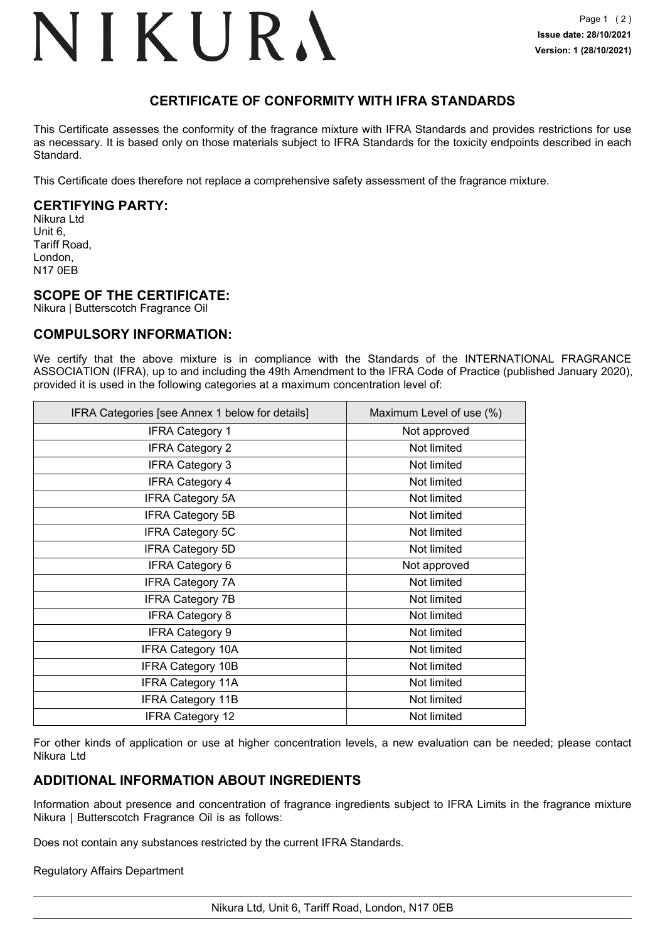## NIKURA

## **CERTIFICATE OF CONFORMITY WITH IFRA STANDARDS**

This Certificate assesses the conformity of the fragrance mixture with IFRA Standards and provides restrictions for use as necessary. It is based only on those materials subject to IFRA Standards for the toxicity endpoints described in each Standard.

This Certificate does therefore not replace a comprehensive safety assessment of the fragrance mixture.

### **CERTIFYING PARTY:**

Nikura Ltd Unit 6, Tariff Road, London, N17 0EB

### **SCOPE OF THE CERTIFICATE:**

Nikura | Butterscotch Fragrance Oil

### **COMPULSORY INFORMATION:**

We certify that the above mixture is in compliance with the Standards of the INTERNATIONAL FRAGRANCE ASSOCIATION (IFRA), up to and including the 49th Amendment to the IFRA Code of Practice (published January 2020), provided it is used in the following categories at a maximum concentration level of:

| IFRA Categories [see Annex 1 below for details] | Maximum Level of use (%) |
|-------------------------------------------------|--------------------------|
| <b>IFRA Category 1</b>                          | Not approved             |
| <b>IFRA Category 2</b>                          | Not limited              |
| <b>IFRA Category 3</b>                          | Not limited              |
| <b>IFRA Category 4</b>                          | Not limited              |
| <b>IFRA Category 5A</b>                         | Not limited              |
| <b>IFRA Category 5B</b>                         | Not limited              |
| <b>IFRA Category 5C</b>                         | Not limited              |
| <b>IFRA Category 5D</b>                         | Not limited              |
| <b>IFRA Category 6</b>                          | Not approved             |
| <b>IFRA Category 7A</b>                         | Not limited              |
| <b>IFRA Category 7B</b>                         | Not limited              |
| <b>IFRA Category 8</b>                          | Not limited              |
| <b>IFRA Category 9</b>                          | Not limited              |
| <b>IFRA Category 10A</b>                        | Not limited              |
| <b>IFRA Category 10B</b>                        | Not limited              |
| <b>IFRA Category 11A</b>                        | Not limited              |
| <b>IFRA Category 11B</b>                        | Not limited              |
| <b>IFRA Category 12</b>                         | Not limited              |

For other kinds of application or use at higher concentration levels, a new evaluation can be needed; please contact Nikura Ltd

### **ADDITIONAL INFORMATION ABOUT INGREDIENTS**

Information about presence and concentration of fragrance ingredients subject to IFRA Limits in the fragrance mixture Nikura | Butterscotch Fragrance Oil is as follows:

Does not contain any substances restricted by the current IFRA Standards.

### Regulatory Affairs Department

Nikura Ltd, Unit 6, Tariff Road, London, N17 0EB